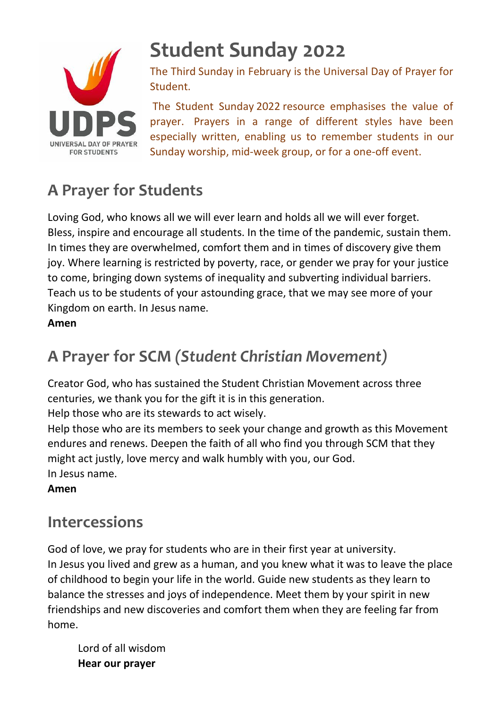

# **Student Sunday 2022**

The Third Sunday in February is the Universal Day of Prayer for Student.

The Student Sunday 2022 resource emphasises the value of prayer. Prayers in a range of different styles have been especially written, enabling us to remember students in our Sunday worship, mid-week group, or for a one-off event.

## **A Prayer for Students**

Loving God, who knows all we will ever learn and holds all we will ever forget. Bless, inspire and encourage all students. In the time of the pandemic, sustain them. In times they are overwhelmed, comfort them and in times of discovery give them joy. Where learning is restricted by poverty, race, or gender we pray for your justice to come, bringing down systems of inequality and subverting individual barriers. Teach us to be students of your astounding grace, that we may see more of your Kingdom on earth. In Jesus name.

**Amen**

### **A Prayer for SCM** *(Student Christian Movement)*

Creator God, who has sustained the Student Christian Movement across three centuries, we thank you for the gift it is in this generation.

Help those who are its stewards to act wisely.

Help those who are its members to seek your change and growth as this Movement endures and renews. Deepen the faith of all who find you through SCM that they might act justly, love mercy and walk humbly with you, our God. In Jesus name.

#### **Amen**

#### **Intercessions**

God of love, we pray for students who are in their first year at university. In Jesus you lived and grew as a human, and you knew what it was to leave the place of childhood to begin your life in the world. Guide new students as they learn to balance the stresses and joys of independence. Meet them by your spirit in new friendships and new discoveries and comfort them when they are feeling far from home.

Lord of all wisdom **Hear our prayer**